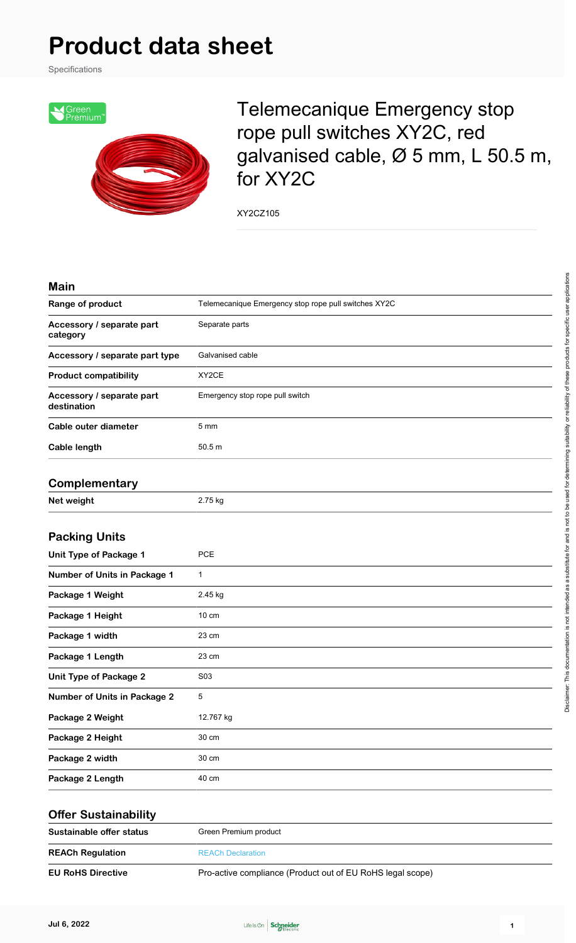## **Product data sheet**

Specifications



Telemecanique Emergency stop rope pull switches XY2C, red galvanised cable, Ø 5 mm, L 50.5 m, for XY2C

XY2CZ105

| <b>Main</b>                              |                                                      |
|------------------------------------------|------------------------------------------------------|
| Range of product                         | Telemecanique Emergency stop rope pull switches XY2C |
| Accessory / separate part<br>category    | Separate parts                                       |
| Accessory / separate part type           | Galvanised cable                                     |
| <b>Product compatibility</b>             | XY2CE                                                |
| Accessory / separate part<br>destination | Emergency stop rope pull switch                      |
| Cable outer diameter                     | 5 <sub>mm</sub>                                      |
| Cable length                             | 50.5 m                                               |
| Complementary                            |                                                      |
| Net weight                               | 2.75 kg                                              |
| <b>Packing Units</b>                     |                                                      |
| <b>Unit Type of Package 1</b>            | PCE                                                  |
| Number of Units in Package 1             | 1                                                    |
| Package 1 Weight                         | 2.45 kg                                              |
| Package 1 Height                         | $10 \text{ cm}$                                      |
| Package 1 width                          | 23 cm                                                |
| Package 1 Length                         | 23 cm                                                |
| <b>Unit Type of Package 2</b>            | S03                                                  |
| <b>Number of Units in Package 2</b>      | 5                                                    |
| Package 2 Weight                         | 12.767 kg                                            |
| Package 2 Height                         | 30 cm                                                |
| Package 2 width                          | 30 cm                                                |
| Package 2 Length                         | 40 cm                                                |
| <b>Offer Sustainability</b>              |                                                      |

| Sustainable offer status | Green Premium product                                      |  |
|--------------------------|------------------------------------------------------------|--|
| <b>REACh Regulation</b>  | <b>REACh Declaration</b>                                   |  |
| <b>EU RoHS Directive</b> | Pro-active compliance (Product out of EU RoHS legal scope) |  |